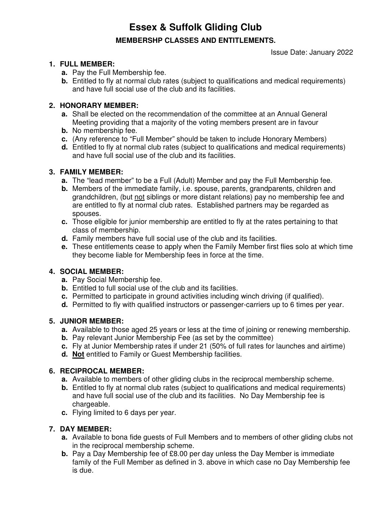**Essex & Suffolk Gliding Club**

## **MEMBERSHP CLASSES AND ENTITLEMENTS.**

Issue Date: January 2022

#### **1. FULL MEMBER:**

- **a.** Pay the Full Membership fee.
- **b.** Entitled to fly at normal club rates (subject to qualifications and medical requirements) and have full social use of the club and its facilities.

### **2. HONORARY MEMBER:**

- **a.** Shall be elected on the recommendation of the committee at an Annual General Meeting providing that a majority of the voting members present are in favour
- **b.** No membership fee.
- **c.** (Any reference to "Full Member" should be taken to include Honorary Members)
- **d.** Entitled to fly at normal club rates (subject to qualifications and medical requirements) and have full social use of the club and its facilities.

### **3. FAMILY MEMBER:**

- **a.** The "lead member" to be a Full (Adult) Member and pay the Full Membership fee.
- **b.** Members of the immediate family, i.e. spouse, parents, grandparents, children and grandchildren, (but not siblings or more distant relations) pay no membership fee and are entitled to fly at normal club rates. Established partners may be regarded as spouses.
- **c.** Those eligible for junior membership are entitled to fly at the rates pertaining to that class of membership.
- **d.** Family members have full social use of the club and its facilities.
- **e.** These entitlements cease to apply when the Family Member first flies solo at which time they become liable for Membership fees in force at the time.

#### **4. SOCIAL MEMBER:**

- **a.** Pay Social Membership fee.
- **b.** Entitled to full social use of the club and its facilities.
- **c.** Permitted to participate in ground activities including winch driving (if qualified).
- **d.** Permitted to fly with qualified instructors or passenger-carriers up to 6 times per year.

#### **5. JUNIOR MEMBER:**

- **a.** Available to those aged 25 years or less at the time of joining or renewing membership.
- **b.** Pay relevant Junior Membership Fee (as set by the committee)
- **c.** Fly at Junior Membership rates if under 21 (50% of full rates for launches and airtime)
- **d. Not** entitled to Family or Guest Membership facilities.

#### **6. RECIPROCAL MEMBER:**

- **a.** Available to members of other gliding clubs in the reciprocal membership scheme.
- **b.** Entitled to fly at normal club rates (subject to qualifications and medical requirements) and have full social use of the club and its facilities. No Day Membership fee is chargeable.
- **c.** Flying limited to 6 days per year.

#### **7. DAY MEMBER:**

- **a.** Available to bona fide guests of Full Members and to members of other gliding clubs not in the reciprocal membership scheme.
- **b.** Pay a Day Membership fee of £8.00 per day unless the Day Member is immediate family of the Full Member as defined in 3. above in which case no Day Membership fee is due.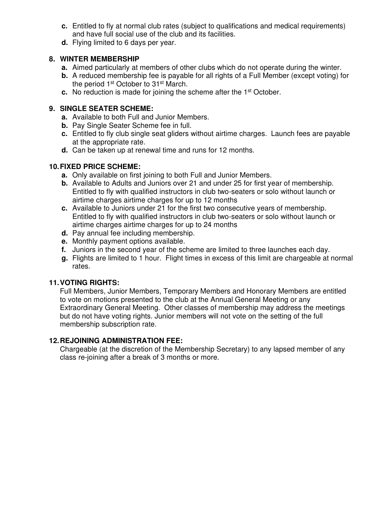- **c.** Entitled to fly at normal club rates (subject to qualifications and medical requirements) and have full social use of the club and its facilities.
- **d.** Flying limited to 6 days per year.

## **8. WINTER MEMBERSHIP**

- **a.** Aimed particularly at members of other clubs which do not operate during the winter.
- **b.** A reduced membership fee is payable for all rights of a Full Member (except voting) for the period 1<sup>st</sup> October to 31<sup>st</sup> March.
- **c.** No reduction is made for joining the scheme after the 1<sup>st</sup> October.

## **9. SINGLE SEATER SCHEME:**

- **a.** Available to both Full and Junior Members.
- **b.** Pay Single Seater Scheme fee in full.
- **c.** Entitled to fly club single seat gliders without airtime charges. Launch fees are payable at the appropriate rate.
- **d.** Can be taken up at renewal time and runs for 12 months.

# **10. FIXED PRICE SCHEME:**

- **a.** Only available on first joining to both Full and Junior Members.
- **b.** Available to Adults and Juniors over 21 and under 25 for first year of membership. Entitled to fly with qualified instructors in club two-seaters or solo without launch or airtime charges airtime charges for up to 12 months
- **c.** Available to Juniors under 21 for the first two consecutive years of membership. Entitled to fly with qualified instructors in club two-seaters or solo without launch or airtime charges airtime charges for up to 24 months
- **d.** Pay annual fee including membership.
- **e.** Monthly payment options available.
- **f.** Juniors in the second year of the scheme are limited to three launches each day.
- **g.** Flights are limited to 1 hour. Flight times in excess of this limit are chargeable at normal rates.

# **11. VOTING RIGHTS:**

Full Members, Junior Members, Temporary Members and Honorary Members are entitled to vote on motions presented to the club at the Annual General Meeting or any Extraordinary General Meeting. Other classes of membership may address the meetings but do not have voting rights. Junior members will not vote on the setting of the full membership subscription rate.

# **12. REJOINING ADMINISTRATION FEE:**

Chargeable (at the discretion of the Membership Secretary) to any lapsed member of any class re-joining after a break of 3 months or more.